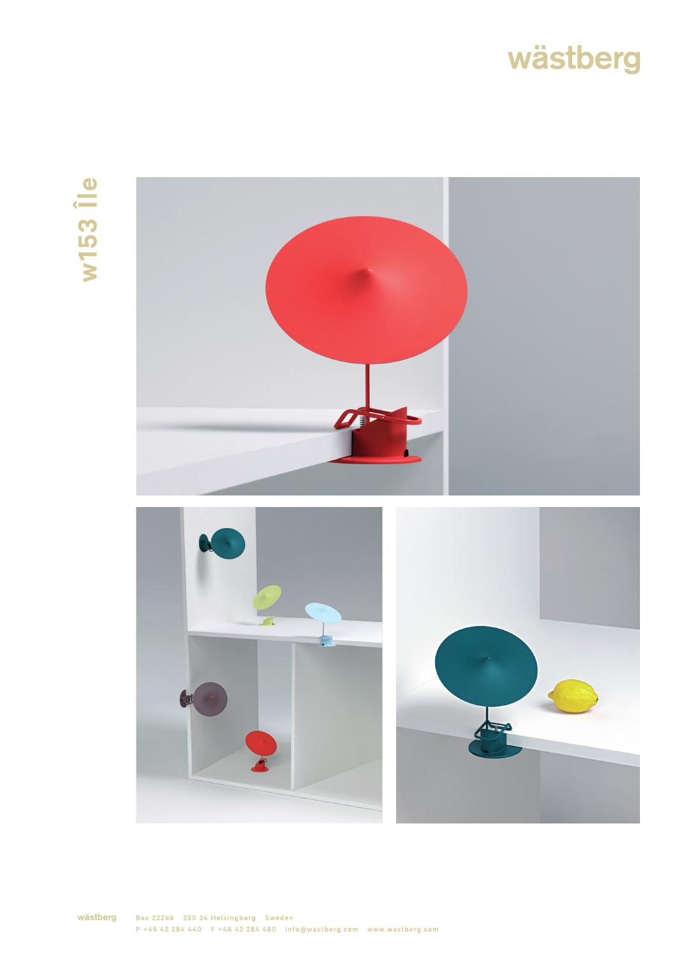## wästberg

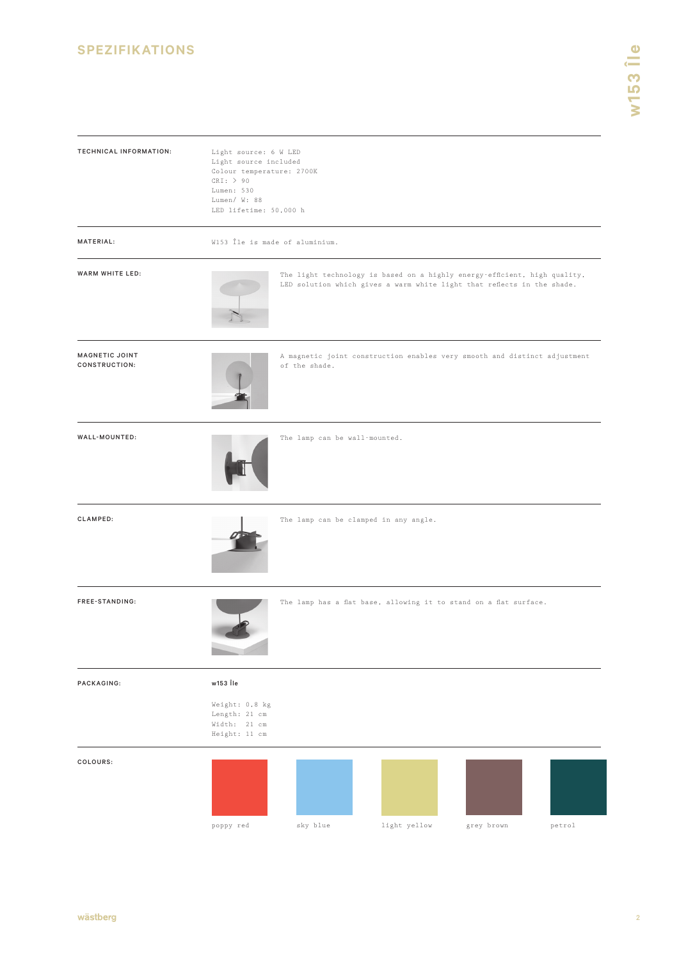## **SPEZIFIKATIONS**

| TECHNICAL INFORMATION:                 | Light source: 6 W LED<br>Light source included<br>Colour temperature: 2700K<br>CRI: > 90<br>Lumen: 530<br>Lumen/ W: 88<br>LED lifetime: 50,000 h |                               |                                                                                                                                                      |            |        |
|----------------------------------------|--------------------------------------------------------------------------------------------------------------------------------------------------|-------------------------------|------------------------------------------------------------------------------------------------------------------------------------------------------|------------|--------|
| MATERIAL:                              | W153 Île is made of aluminium.                                                                                                                   |                               |                                                                                                                                                      |            |        |
| WARM WHITE LED:                        |                                                                                                                                                  |                               | The light technology is based on a highly energy-efficient, high quality,<br>LED solution which gives a warm white light that reflects in the shade. |            |        |
| <b>MAGNETIC JOINT</b><br>CONSTRUCTION: |                                                                                                                                                  | of the shade.                 | A magnetic joint construction enables very smooth and distinct adjustment                                                                            |            |        |
| WALL-MOUNTED:                          |                                                                                                                                                  | The lamp can be wall-mounted. |                                                                                                                                                      |            |        |
| CLAMPED:                               |                                                                                                                                                  |                               | The lamp can be clamped in any angle.                                                                                                                |            |        |
| FREE-STANDING:                         |                                                                                                                                                  |                               | The lamp has a flat base, allowing it to stand on a flat surface.                                                                                    |            |        |
| PACKAGING:                             | w153 Île                                                                                                                                         |                               |                                                                                                                                                      |            |        |
|                                        | Weight: 0,8 kg<br>Length: 21 cm<br>Width: 21 cm<br>Height: 11 cm                                                                                 |                               |                                                                                                                                                      |            |        |
| COLOURS:                               |                                                                                                                                                  |                               |                                                                                                                                                      |            |        |
|                                        | poppy red                                                                                                                                        | sky blue                      | light yellow                                                                                                                                         | grey brown | petrol |